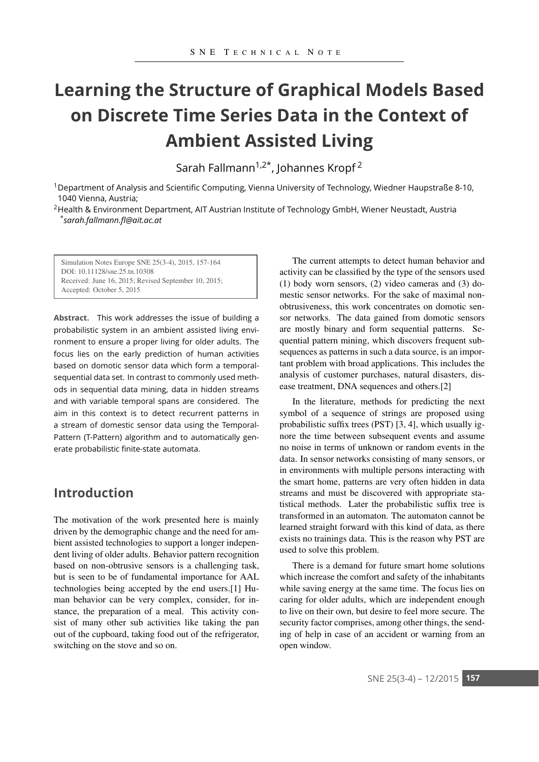# **Learning the Structure of Graphical Models Based on Discrete Time Series Data in the Context of Ambient Assisted Living**

Sarah Fallmann<sup>1,2\*</sup>, Johannes Kropf<sup>2</sup>

1Department of Analysis and Scientific Computing, Vienna University of Technology, Wiedner Haupstraße 8-10, 11040 Vienna, Austria;

<sup>2</sup>Health & Environment Department, AIT Austrian Institute of Technology GmbH, Wiener Neustadt, Austria <sup>1</sup> *\*sarah.fallmann.fl@ait.ac.at*

Simulation Notes Europe SNE 25(3-4), 2015, 157-164 DOI: 10.11128/sne.25.tn.10308 Received: June 16, 2015; Revised September 10, 2015; Accepted: October 5, 2015

**Abstract.** This work addresses the issue of building a probabilistic system in an ambient assisted living environment to ensure a proper living for older adults. The focus lies on the early prediction of human activities based on domotic sensor data which form a temporalsequential data set. In contrast to commonly used methods in sequential data mining, data in hidden streams and with variable temporal spans are considered. The aim in this context is to detect recurrent patterns in a stream of domestic sensor data using the Temporal-Pattern (T-Pattern) algorithm and to automatically generate probabilistic finite-state automata.

## **Introduction**

The motivation of the work presented here is mainly driven by the demographic change and the need for ambient assisted technologies to support a longer independent living of older adults. Behavior pattern recognition based on non-obtrusive sensors is a challenging task, but is seen to be of fundamental importance for AAL technologies being accepted by the end users.[1] Human behavior can be very complex, consider, for instance, the preparation of a meal. This activity consist of many other sub activities like taking the pan out of the cupboard, taking food out of the refrigerator, switching on the stove and so on.

The current attempts to detect human behavior and activity can be classified by the type of the sensors used (1) body worn sensors, (2) video cameras and (3) domestic sensor networks. For the sake of maximal nonobtrusiveness, this work concentrates on domotic sensor networks. The data gained from domotic sensors are mostly binary and form sequential patterns. Sequential pattern mining, which discovers frequent subsequences as patterns in such a data source, is an important problem with broad applications. This includes the analysis of customer purchases, natural disasters, disease treatment, DNA sequences and others.[2]

In the literature, methods for predicting the next symbol of a sequence of strings are proposed using probabilistic suffix trees (PST) [3, 4], which usually ignore the time between subsequent events and assume no noise in terms of unknown or random events in the data. In sensor networks consisting of many sensors, or in environments with multiple persons interacting with the smart home, patterns are very often hidden in data streams and must be discovered with appropriate statistical methods. Later the probabilistic suffix tree is transformed in an automaton. The automaton cannot be learned straight forward with this kind of data, as there exists no trainings data. This is the reason why PST are used to solve this problem.

There is a demand for future smart home solutions which increase the comfort and safety of the inhabitants while saving energy at the same time. The focus lies on caring for older adults, which are independent enough to live on their own, but desire to feel more secure. The security factor comprises, among other things, the sending of help in case of an accident or warning from an open window.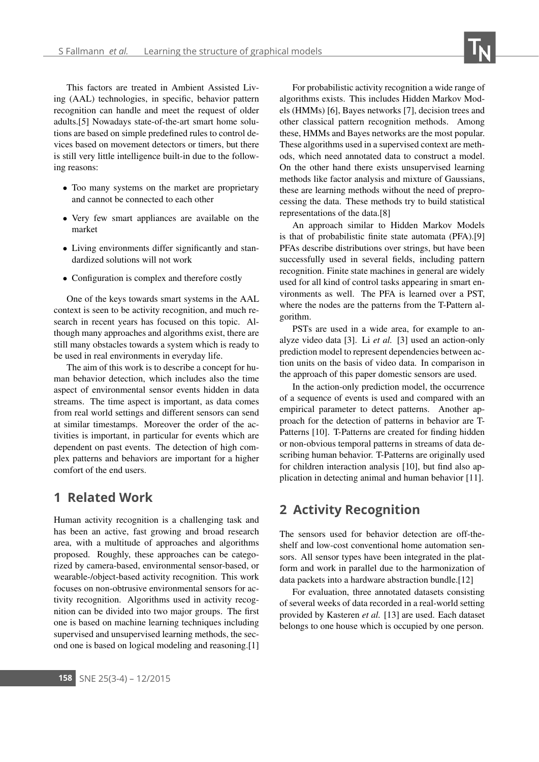This factors are treated in Ambient Assisted Living (AAL) technologies, in specific, behavior pattern recognition can handle and meet the request of older adults.[5] Nowadays state-of-the-art smart home solutions are based on simple predefined rules to control devices based on movement detectors or timers, but there is still very little intelligence built-in due to the following reasons:

- Too many systems on the market are proprietary and cannot be connected to each other
- Very few smart appliances are available on the market
- Living environments differ significantly and standardized solutions will not work
- Configuration is complex and therefore costly

One of the keys towards smart systems in the AAL context is seen to be activity recognition, and much research in recent years has focused on this topic. Although many approaches and algorithms exist, there are still many obstacles towards a system which is ready to be used in real environments in everyday life.

The aim of this work is to describe a concept for human behavior detection, which includes also the time aspect of environmental sensor events hidden in data streams. The time aspect is important, as data comes from real world settings and different sensors can send at similar timestamps. Moreover the order of the activities is important, in particular for events which are dependent on past events. The detection of high complex patterns and behaviors are important for a higher comfort of the end users.

### **1 Related Work**

Human activity recognition is a challenging task and has been an active, fast growing and broad research area, with a multitude of approaches and algorithms proposed. Roughly, these approaches can be categorized by camera-based, environmental sensor-based, or wearable-/object-based activity recognition. This work focuses on non-obtrusive environmental sensors for activity recognition. Algorithms used in activity recognition can be divided into two major groups. The first one is based on machine learning techniques including supervised and unsupervised learning methods, the second one is based on logical modeling and reasoning.[1]

For probabilistic activity recognition a wide range of algorithms exists. This includes Hidden Markov Models (HMMs) [6], Bayes networks [7], decision trees and other classical pattern recognition methods. Among these, HMMs and Bayes networks are the most popular. These algorithms used in a supervised context are methods, which need annotated data to construct a model. On the other hand there exists unsupervised learning methods like factor analysis and mixture of Gaussians, these are learning methods without the need of preprocessing the data. These methods try to build statistical representations of the data.[8]

An approach similar to Hidden Markov Models is that of probabilistic finite state automata (PFA).[9] PFAs describe distributions over strings, but have been successfully used in several fields, including pattern recognition. Finite state machines in general are widely used for all kind of control tasks appearing in smart environments as well. The PFA is learned over a PST, where the nodes are the patterns from the T-Pattern algorithm.

PSTs are used in a wide area, for example to analyze video data [3]. Li *et al.* [3] used an action-only prediction model to represent dependencies between action units on the basis of video data. In comparison in the approach of this paper domestic sensors are used.

In the action-only prediction model, the occurrence of a sequence of events is used and compared with an empirical parameter to detect patterns. Another approach for the detection of patterns in behavior are T-Patterns [10]. T-Patterns are created for finding hidden or non-obvious temporal patterns in streams of data describing human behavior. T-Patterns are originally used for children interaction analysis [10], but find also application in detecting animal and human behavior [11].

## **2 Activity Recognition**

The sensors used for behavior detection are off-theshelf and low-cost conventional home automation sensors. All sensor types have been integrated in the platform and work in parallel due to the harmonization of data packets into a hardware abstraction bundle.[12]

For evaluation, three annotated datasets consisting of several weeks of data recorded in a real-world setting provided by Kasteren *et al.* [13] are used. Each dataset belongs to one house which is occupied by one person.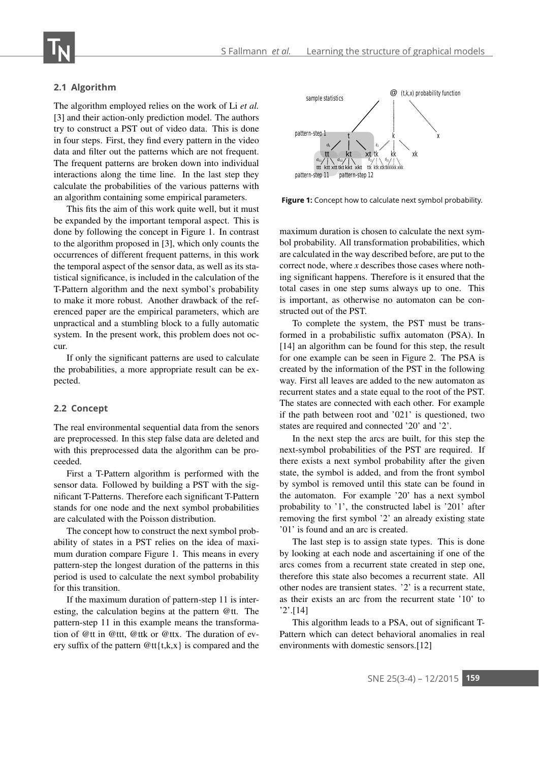#### **2.1 Algorithm**

The algorithm employed relies on the work of Li *et al.* [3] and their action-only prediction model. The authors try to construct a PST out of video data. This is done in four steps. First, they find every pattern in the video data and filter out the patterns which are not frequent. The frequent patterns are broken down into individual interactions along the time line. In the last step they calculate the probabilities of the various patterns with an algorithm containing some empirical parameters.

This fits the aim of this work quite well, but it must be expanded by the important temporal aspect. This is done by following the concept in Figure 1. In contrast to the algorithm proposed in [3], which only counts the occurrences of different frequent patterns, in this work the temporal aspect of the sensor data, as well as its statistical significance, is included in the calculation of the T-Pattern algorithm and the next symbol's probability to make it more robust. Another drawback of the referenced paper are the empirical parameters, which are unpractical and a stumbling block to a fully automatic system. In the present work, this problem does not occur.

If only the significant patterns are used to calculate the probabilities, a more appropriate result can be expected.

#### **2.2 Concept**

The real environmental sequential data from the senors are preprocessed. In this step false data are deleted and with this preprocessed data the algorithm can be proceeded.

First a T-Pattern algorithm is performed with the sensor data. Followed by building a PST with the significant T-Patterns. Therefore each significant T-Pattern stands for one node and the next symbol probabilities are calculated with the Poisson distribution.

The concept how to construct the next symbol probability of states in a PST relies on the idea of maximum duration compare Figure 1. This means in every pattern-step the longest duration of the patterns in this period is used to calculate the next symbol probability for this transition.

If the maximum duration of pattern-step 11 is interesting, the calculation begins at the pattern @tt. The pattern-step 11 in this example means the transformation of @tt in @ttt, @ttk or @ttx. The duration of every suffix of the pattern  $@tt{\{t,k,x\}}$  is compared and the



**Figure 1:** Concept how to calculate next symbol probability.

maximum duration is chosen to calculate the next symbol probability. All transformation probabilities, which are calculated in the way described before, are put to the correct node, where *x* describes those cases where nothing significant happens. Therefore is it ensured that the total cases in one step sums always up to one. This is important, as otherwise no automaton can be constructed out of the PST.

To complete the system, the PST must be transformed in a probabilistic suffix automaton (PSA). In [14] an algorithm can be found for this step, the result for one example can be seen in Figure 2. The PSA is created by the information of the PST in the following way. First all leaves are added to the new automaton as recurrent states and a state equal to the root of the PST. The states are connected with each other. For example if the path between root and '021' is questioned, two states are required and connected '20' and '2'.

In the next step the arcs are built, for this step the next-symbol probabilities of the PST are required. If there exists a next symbol probability after the given state, the symbol is added, and from the front symbol by symbol is removed until this state can be found in the automaton. For example '20' has a next symbol probability to '1', the constructed label is '201' after removing the first symbol '2' an already existing state '01' is found and an arc is created.

The last step is to assign state types. This is done by looking at each node and ascertaining if one of the arcs comes from a recurrent state created in step one, therefore this state also becomes a recurrent state. All other nodes are transient states. '2' is a recurrent state, as their exists an arc from the recurrent state '10' to '2'.[14]

This algorithm leads to a PSA, out of significant T-Pattern which can detect behavioral anomalies in real environments with domestic sensors.[12]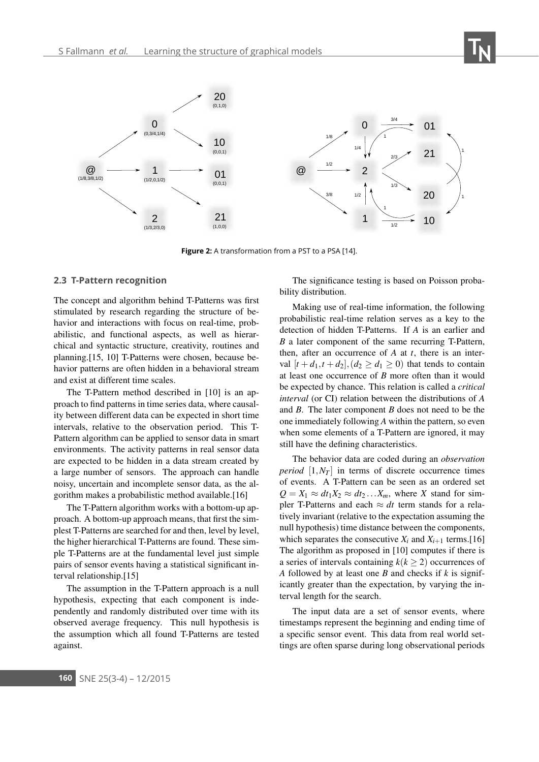

**Figure 2:** A transformation from a PST to a PSA [14].

#### **2.3 T-Pattern recognition**

The concept and algorithm behind T-Patterns was first stimulated by research regarding the structure of behavior and interactions with focus on real-time, probabilistic, and functional aspects, as well as hierarchical and syntactic structure, creativity, routines and planning.[15, 10] T-Patterns were chosen, because behavior patterns are often hidden in a behavioral stream and exist at different time scales.

The T-Pattern method described in [10] is an approach to find patterns in time series data, where causality between different data can be expected in short time intervals, relative to the observation period. This T-Pattern algorithm can be applied to sensor data in smart environments. The activity patterns in real sensor data are expected to be hidden in a data stream created by a large number of sensors. The approach can handle noisy, uncertain and incomplete sensor data, as the algorithm makes a probabilistic method available.[16]

The T-Pattern algorithm works with a bottom-up approach. A bottom-up approach means, that first the simplest T-Patterns are searched for and then, level by level, the higher hierarchical T-Patterns are found. These simple T-Patterns are at the fundamental level just simple pairs of sensor events having a statistical significant interval relationship.[15]

The assumption in the T-Pattern approach is a null hypothesis, expecting that each component is independently and randomly distributed over time with its observed average frequency. This null hypothesis is the assumption which all found T-Patterns are tested against.

The significance testing is based on Poisson probability distribution.

Making use of real-time information, the following probabilistic real-time relation serves as a key to the detection of hidden T-Patterns. If *A* is an earlier and *B* a later component of the same recurring T-Pattern, then, after an occurrence of *A* at *t*, there is an interval  $[t+d_1, t+d_2], (d_2 \ge d_1 \ge 0)$  that tends to contain at least one occurrence of *B* more often than it would be expected by chance. This relation is called a *critical interval* (or CI) relation between the distributions of *A* and *B*. The later component *B* does not need to be the one immediately following *A* within the pattern, so even when some elements of a T-Pattern are ignored, it may still have the defining characteristics.

The behavior data are coded during an *observation period*  $[1, N_T]$  in terms of discrete occurrence times of events. A T-Pattern can be seen as an ordered set  $Q = X_1 \approx dt_1 X_2 \approx dt_2 ... X_m$ , where *X* stand for simpler T-Patterns and each  $\approx dt$  term stands for a relatively invariant (relative to the expectation assuming the null hypothesis) time distance between the components, which separates the consecutive  $X_i$  and  $X_{i+1}$  terms.[16] The algorithm as proposed in [10] computes if there is a series of intervals containing  $k(k \geq 2)$  occurrences of *A* followed by at least one *B* and checks if *k* is significantly greater than the expectation, by varying the interval length for the search.

The input data are a set of sensor events, where timestamps represent the beginning and ending time of a specific sensor event. This data from real world settings are often sparse during long observational periods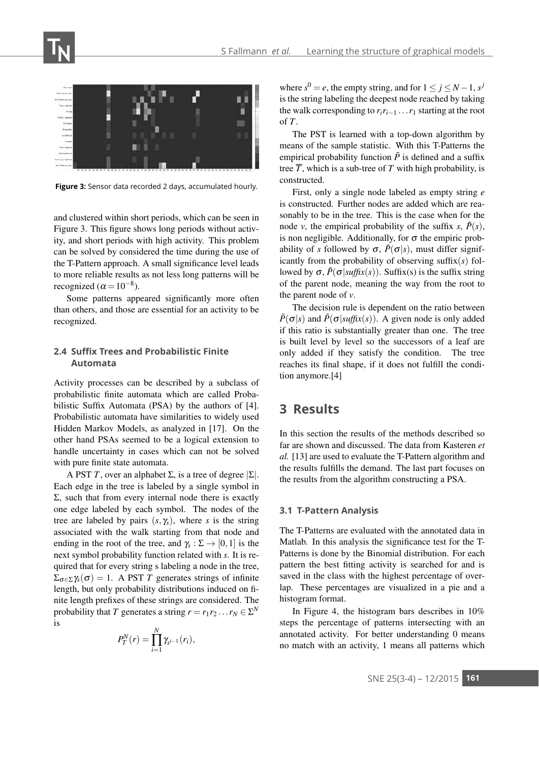

**Figure 3:** Sensor data recorded 2 days, accumulated hourly.

and clustered within short periods, which can be seen in Figure 3. This figure shows long periods without activity, and short periods with high activity. This problem can be solved by considered the time during the use of the T-Pattern approach. A small significance level leads to more reliable results as not less long patterns will be recognized ( $\alpha$  = 10<sup>-8</sup>).

Some patterns appeared significantly more often than others, and those are essential for an activity to be recognized.

#### **2.4 Suffix Trees and Probabilistic Finite Automata**

Activity processes can be described by a subclass of probabilistic finite automata which are called Probabilistic Suffix Automata (PSA) by the authors of [4]. Probabilistic automata have similarities to widely used Hidden Markov Models, as analyzed in [17]. On the other hand PSAs seemed to be a logical extension to handle uncertainty in cases which can not be solved with pure finite state automata.

A PST *T*, over an alphabet  $\Sigma$ , is a tree of degree  $|\Sigma|$ . Each edge in the tree is labeled by a single symbol in  $Σ$ , such that from every internal node there is exactly one edge labeled by each symbol. The nodes of the tree are labeled by pairs  $(s, \gamma_s)$ , where *s* is the string associated with the walk starting from that node and ending in the root of the tree, and  $\gamma_s : \Sigma \to [0,1]$  is the next symbol probability function related with *s*. It is required that for every string s labeling a node in the tree,  $\Sigma_{\sigma \in \Sigma} \gamma_s(\sigma) = 1$ . A PST *T* generates strings of infinite length, but only probability distributions induced on finite length prefixes of these strings are considered. The probability that *T* generates a string  $r = r_1 r_2 \dots r_N \in \Sigma^N$ is

$$
P_T^N(r)=\prod_{i=1}^N \gamma_{s^{i-1}}(r_i),
$$

where  $s^0 = e$ , the empty string, and for  $1 \le j \le N - 1$ ,  $s^j$ is the string labeling the deepest node reached by taking the walk corresponding to  $r_i r_{i-1} \ldots r_1$  starting at the root of *T*.

The PST is learned with a top-down algorithm by means of the sample statistic. With this T-Patterns the empirical probability function  $\tilde{P}$  is defined and a suffix tree  $\overline{T}$ , which is a sub-tree of  $T$  with high probability, is constructed.

First, only a single node labeled as empty string *e* is constructed. Further nodes are added which are reasonably to be in the tree. This is the case when for the node *v*, the empirical probability of the suffix *s*,  $\tilde{P}(s)$ , is non negligible. Additionally, for  $\sigma$  the empiric probability of *s* followed by  $\sigma$ ,  $\tilde{P}(\sigma|s)$ , must differ significantly from the probability of observing suffix(*s*) followed by  $\sigma$ ,  $\tilde{P}(\sigma | \text{suffix}(s))$ . Suffix(s) is the suffix string of the parent node, meaning the way from the root to the parent node of *v*.

The decision rule is dependent on the ratio between  $\tilde{P}(\sigma|s)$  and  $\tilde{P}(\sigma|suffix(s))$ . A given node is only added if this ratio is substantially greater than one. The tree is built level by level so the successors of a leaf are only added if they satisfy the condition. The tree reaches its final shape, if it does not fulfill the condition anymore.[4]

### **3 Results**

In this section the results of the methods described so far are shown and discussed. The data from Kasteren *et al.* [13] are used to evaluate the T-Pattern algorithm and the results fulfills the demand. The last part focuses on the results from the algorithm constructing a PSA.

#### **3.1 T-Pattern Analysis**

The T-Patterns are evaluated with the annotated data in Matlab. In this analysis the significance test for the T-Patterns is done by the Binomial distribution. For each pattern the best fitting activity is searched for and is saved in the class with the highest percentage of overlap. These percentages are visualized in a pie and a histogram format.

In Figure 4, the histogram bars describes in 10% steps the percentage of patterns intersecting with an annotated activity. For better understanding 0 means no match with an activity, 1 means all patterns which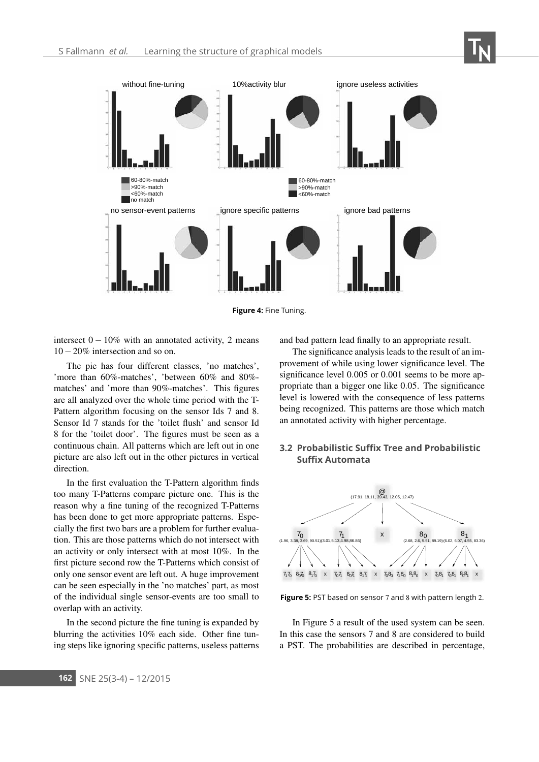

**Figure 4:** Fine Tuning.

intersect  $0 - 10\%$  with an annotated activity, 2 means 10−20% intersection and so on.

The pie has four different classes, 'no matches', 'more than 60%-matches', 'between 60% and 80% matches' and 'more than 90%-matches'. This figures are all analyzed over the whole time period with the T-Pattern algorithm focusing on the sensor Ids 7 and 8. Sensor Id 7 stands for the 'toilet flush' and sensor Id 8 for the 'toilet door'. The figures must be seen as a continuous chain. All patterns which are left out in one picture are also left out in the other pictures in vertical direction.

In the first evaluation the T-Pattern algorithm finds too many T-Patterns compare picture one. This is the reason why a fine tuning of the recognized T-Patterns has been done to get more appropriate patterns. Especially the first two bars are a problem for further evaluation. This are those patterns which do not intersect with an activity or only intersect with at most 10%. In the first picture second row the T-Patterns which consist of only one sensor event are left out. A huge improvement can be seen especially in the 'no matches' part, as most of the individual single sensor-events are too small to overlap with an activity.

In the second picture the fine tuning is expanded by blurring the activities 10% each side. Other fine tuning steps like ignoring specific patterns, useless patterns and bad pattern lead finally to an appropriate result.

The significance analysis leads to the result of an improvement of while using lower significance level. The significance level 0.005 or 0.001 seems to be more appropriate than a bigger one like 0.05. The significance level is lowered with the consequence of less patterns being recognized. This patterns are those which match an annotated activity with higher percentage.

### **3.2 Probabilistic Suffix Tree and Probabilistic Suffix Automata**



**Figure 5:** PST based on sensor 7 and 8 with pattern length 2.

In Figure 5 a result of the used system can be seen. In this case the sensors 7 and 8 are considered to build a PST. The probabilities are described in percentage,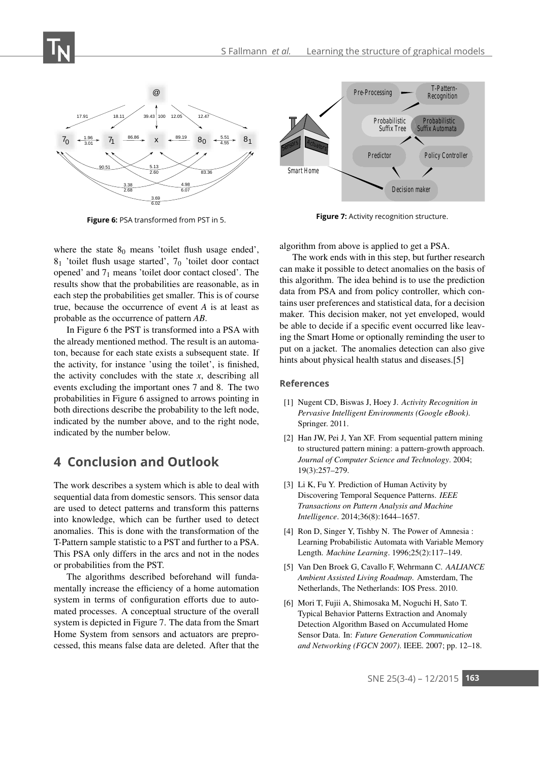

**Figure 6:** PSA transformed from PST in 5.

where the state  $8_0$  means 'toilet flush usage ended', 81 'toilet flush usage started', 70 'toilet door contact opened' and 71 means 'toilet door contact closed'. The results show that the probabilities are reasonable, as in each step the probabilities get smaller. This is of course true, because the occurrence of event *A* is at least as probable as the occurrence of pattern *AB*.

In Figure 6 the PST is transformed into a PSA with the already mentioned method. The result is an automaton, because for each state exists a subsequent state. If the activity, for instance 'using the toilet', is finished, the activity concludes with the state  $x$ , describing all events excluding the important ones 7 and 8. The two probabilities in Figure 6 assigned to arrows pointing in both directions describe the probability to the left node, indicated by the number above, and to the right node, indicated by the number below.

### **4 Conclusion and Outlook**

The work describes a system which is able to deal with sequential data from domestic sensors. This sensor data are used to detect patterns and transform this patterns into knowledge, which can be further used to detect anomalies. This is done with the transformation of the T-Pattern sample statistic to a PST and further to a PSA. This PSA only differs in the arcs and not in the nodes or probabilities from the PST.

The algorithms described beforehand will fundamentally increase the efficiency of a home automation system in terms of configuration efforts due to automated processes. A conceptual structure of the overall system is depicted in Figure 7. The data from the Smart Home System from sensors and actuators are preprocessed, this means false data are deleted. After that the



**Figure 7:** Activity recognition structure.

algorithm from above is applied to get a PSA.

The work ends with in this step, but further research can make it possible to detect anomalies on the basis of this algorithm. The idea behind is to use the prediction data from PSA and from policy controller, which contains user preferences and statistical data, for a decision maker. This decision maker, not yet enveloped, would be able to decide if a specific event occurred like leaving the Smart Home or optionally reminding the user to put on a jacket. The anomalies detection can also give hints about physical health status and diseases.[5]

#### **References**

- [1] Nugent CD, Biswas J, Hoey J. *Activity Recognition in Pervasive Intelligent Environments (Google eBook)*. Springer. 2011.
- [2] Han JW, Pei J, Yan XF. From sequential pattern mining to structured pattern mining: a pattern-growth approach. *Journal of Computer Science and Technology*. 2004; 19(3):257–279.
- [3] Li K, Fu Y. Prediction of Human Activity by Discovering Temporal Sequence Patterns. *IEEE Transactions on Pattern Analysis and Machine Intelligence*. 2014;36(8):1644–1657.
- [4] Ron D, Singer Y, Tishby N. The Power of Amnesia : Learning Probabilistic Automata with Variable Memory Length. *Machine Learning*. 1996;25(2):117–149.
- [5] Van Den Broek G, Cavallo F, Wehrmann C. *AALIANCE Ambient Assisted Living Roadmap*. Amsterdam, The Netherlands, The Netherlands: IOS Press. 2010.
- [6] Mori T, Fujii A, Shimosaka M, Noguchi H, Sato T. Typical Behavior Patterns Extraction and Anomaly Detection Algorithm Based on Accumulated Home Sensor Data. In: *Future Generation Communication and Networking (FGCN 2007)*. IEEE. 2007; pp. 12–18.